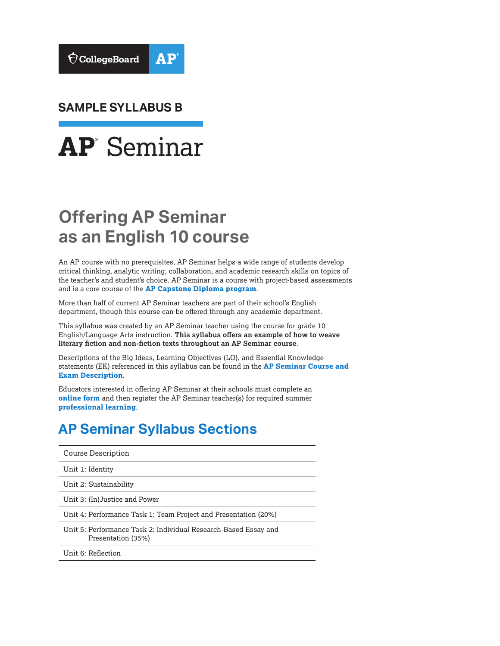

**SAMPLE SYLLABUS B** 



# **Offering AP Seminar as an English 10 course**

An AP course with no prerequisites, AP Seminar helps a wide range of students develop critical thinking, analytic writing, collaboration, and academic research skills on topics of the teacher's and student's choice. AP Seminar is a course with project-based assessments and is a core course of the **[AP Capstone Diploma program](https://collegeboard.org/apcapstone)**.

More than half of current AP Seminar teachers are part of their school's English department, though this course can be offered through any academic department.

This syllabus was created by an AP Seminar teacher using the course for grade 10 English/Language Arts instruction. **This syllabus offers an example of how to weave literary fiction and non-fiction texts throughout an AP Seminar course**.

Descriptions of the Big Ideas, Learning Objectives (LO), and Essential Knowledge statements (EK) referenced in this syllabus can be found in the **[AP Seminar Course and](https://apcentral.collegeboard.org/pdf/ap-seminar-course-and-exam-description.pdf?course=ap-seminar)  [Exam Description](https://apcentral.collegeboard.org/pdf/ap-seminar-course-and-exam-description.pdf?course=ap-seminar)**.

Educators interested in offering AP Seminar at their schools must complete an **[online form](https://collegeboard.force.com/APCapstone/s/)** and then register the AP Seminar teacher(s) for required summer **[professional learning](https://apcentral.collegeboard.org/courses/ap-capstone/professional-learning)**.

# **AP Seminar Syllabus Sections**

| Course Description                                                                    |
|---------------------------------------------------------------------------------------|
| Unit 1: Identity                                                                      |
| Unit 2: Sustainability                                                                |
| Unit 3: (In) Justice and Power                                                        |
| Unit 4: Performance Task 1: Team Project and Presentation (20%)                       |
| Unit 5: Performance Task 2: Individual Research-Based Essay and<br>Presentation (35%) |
| Unit 6: Reflection                                                                    |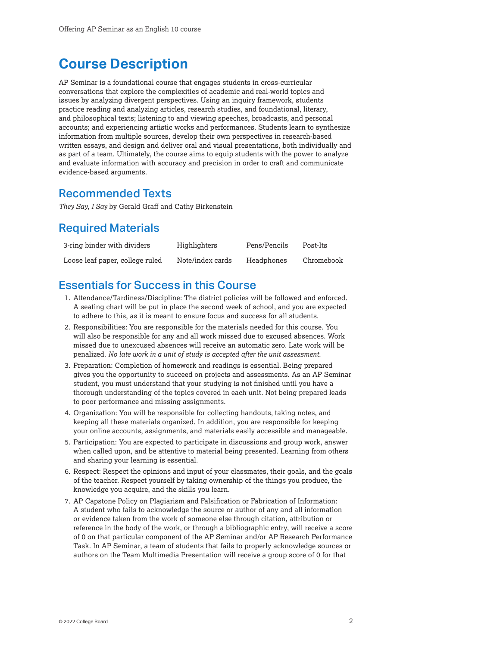# <span id="page-1-0"></span>**Course Description**

AP Seminar is a foundational course that engages students in cross-curricular conversations that explore the complexities of academic and real-world topics and issues by analyzing divergent perspectives. Using an inquiry framework, students practice reading and analyzing articles, research studies, and foundational, literary, and philosophical texts; listening to and viewing speeches, broadcasts, and personal accounts; and experiencing artistic works and performances. Students learn to synthesize information from multiple sources, develop their own perspectives in research-based written essays, and design and deliver oral and visual presentations, both individually and as part of a team. Ultimately, the course aims to equip students with the power to analyze and evaluate information with accuracy and precision in order to craft and communicate evidence-based arguments.

## Recommended Texts

*They Say, I Say* by Gerald Graff and Cathy Birkenstein

# Required Materials

| 3-ring binder with dividers     | Highlighters     | Pens/Pencils | Post-Its   |
|---------------------------------|------------------|--------------|------------|
| Loose leaf paper, college ruled | Note/index cards | Headphones   | Chromebook |

# Essentials for Success in this Course

- 1. Attendance/Tardiness/Discipline: The district policies will be followed and enforced. A seating chart will be put in place the second week of school, and you are expected to adhere to this, as it is meant to ensure focus and success for all students.
- 2. Responsibilities: You are responsible for the materials needed for this course. You will also be responsible for any and all work missed due to excused absences. Work missed due to unexcused absences will receive an automatic zero. Late work will be penalized. *No late work in a unit of study is accepted after the unit assessment.*
- 3. Preparation: Completion of homework and readings is essential. Being prepared gives you the opportunity to succeed on projects and assessments. As an AP Seminar student, you must understand that your studying is not finished until you have a thorough understanding of the topics covered in each unit. Not being prepared leads to poor performance and missing assignments.
- 4. Organization: You will be responsible for collecting handouts, taking notes, and keeping all these materials organized. In addition, you are responsible for keeping your online accounts, assignments, and materials easily accessible and manageable.
- 5. Participation: You are expected to participate in discussions and group work, answer when called upon, and be attentive to material being presented. Learning from others and sharing your learning is essential.
- 6. Respect: Respect the opinions and input of your classmates, their goals, and the goals of the teacher. Respect yourself by taking ownership of the things you produce, the knowledge you acquire, and the skills you learn.
- 7. AP Capstone Policy on Plagiarism and Falsification or Fabrication of Information: A student who fails to acknowledge the source or author of any and all information or evidence taken from the work of someone else through citation, attribution or reference in the body of the work, or through a bibliographic entry, will receive a score of 0 on that particular component of the AP Seminar and/or AP Research Performance Task. In AP Seminar, a team of students that fails to properly acknowledge sources or authors on the Team Multimedia Presentation will receive a group score of 0 for that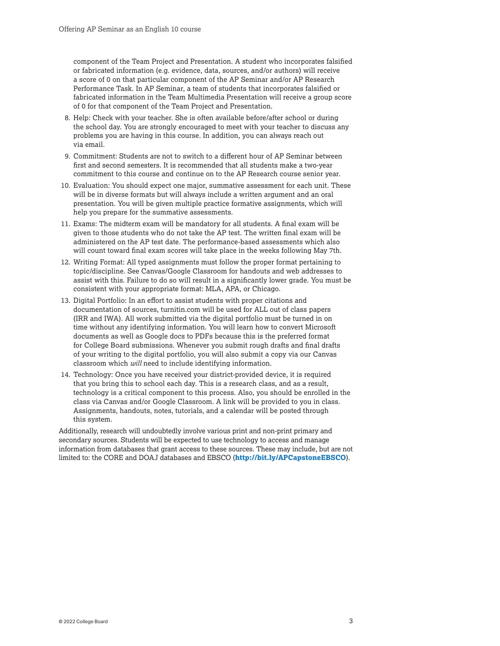component of the Team Project and Presentation. A student who incorporates falsified or fabricated information (e.g. evidence, data, sources, and/or authors) will receive a score of 0 on that particular component of the AP Seminar and/or AP Research Performance Task. In AP Seminar, a team of students that incorporates falsified or fabricated information in the Team Multimedia Presentation will receive a group score of 0 for that component of the Team Project and Presentation.

- 8. Help: Check with your teacher. She is often available before/after school or during the school day. You are strongly encouraged to meet with your teacher to discuss any problems you are having in this course. In addition, you can always reach out via email.
- 9. Commitment: Students are not to switch to a different hour of AP Seminar between first and second semesters. It is recommended that all students make a two-year commitment to this course and continue on to the AP Research course senior year.
- 10. Evaluation: You should expect one major, summative assessment for each unit. These will be in diverse formats but will always include a written argument and an oral presentation. You will be given multiple practice formative assignments, which will help you prepare for the summative assessments.
- 11. Exams: The midterm exam will be mandatory for all students. A final exam will be given to those students who do not take the AP test. The written final exam will be administered on the AP test date. The performance-based assessments which also will count toward final exam scores will take place in the weeks following May 7th.
- 12. Writing Format: All typed assignments must follow the proper format pertaining to topic/discipline. See Canvas/Google Classroom for handouts and web addresses to assist with this. Failure to do so will result in a significantly lower grade. You must be consistent with your appropriate format: MLA, APA, or Chicago.
- 13. Digital Portfolio: In an effort to assist students with proper citations and documentation of sources, [turnitin.com](https://turnitin.com) will be used for ALL out of class papers (IRR and IWA). All work submitted via the digital portfolio must be turned in on time without any identifying information. You will learn how to convert Microsoft documents as well as Google docs to PDFs because this is the preferred format for College Board submissions. Whenever you submit rough drafts and final drafts of your writing to the digital portfolio, you will also submit a copy via our Canvas classroom which *will* need to include identifying information.
- 14. Technology: Once you have received your district-provided device, it is required that you bring this to school each day. This is a research class, and as a result, technology is a critical component to this process. Also, you should be enrolled in the class via Canvas and/or Google Classroom. A link will be provided to you in class. Assignments, handouts, notes, tutorials, and a calendar will be posted through this system.

Additionally, research will undoubtedly involve various print and non-print primary and secondary sources. Students will be expected to use technology to access and manage information from databases that grant access to these sources. These may include, but are not limited to: the CORE and DOAJ databases and EBSCO (**<http://bit.ly/APCapstoneEBSCO>**).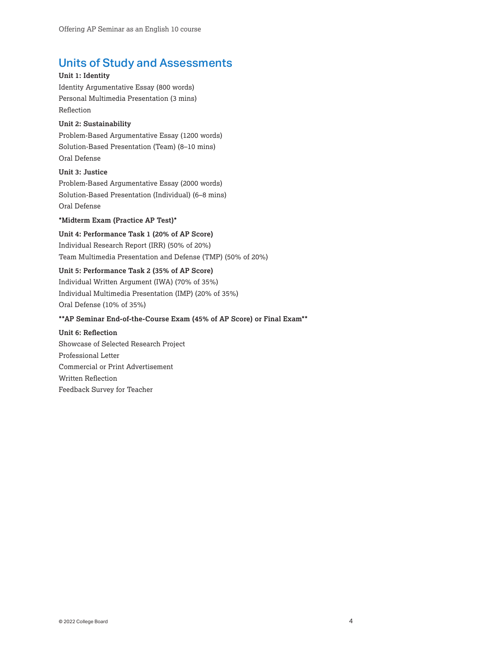# Units of Study and Assessments

### **Unit 1: Identity**

Identity Argumentative Essay (800 words) Personal Multimedia Presentation (3 mins) Reflection

## **Unit 2: Sustainability**

Problem-Based Argumentative Essay (1200 words) Solution-Based Presentation (Team) (8–10 mins) Oral Defense

### **Unit 3: Justice**

Problem-Based Argumentative Essay (2000 words) Solution-Based Presentation (Individual) (6–8 mins) Oral Defense

## **\*Midterm Exam (Practice AP Test)\***

**Unit 4: Performance Task 1 (20% of AP Score)** Individual Research Report (IRR) (50% of 20%) Team Multimedia Presentation and Defense (TMP) (50% of 20%)

## **Unit 5: Performance Task 2 (35% of AP Score)**

Individual Written Argument (IWA) (70% of 35%) Individual Multimedia Presentation (IMP) (20% of 35%) Oral Defense (10% of 35%)

## **\*\*AP Seminar End-of-the-Course Exam (45% of AP Score) or Final Exam\*\***

**Unit 6: Reflection** Showcase of Selected Research Project Professional Letter Commercial or Print Advertisement Written Reflection Feedback Survey for Teacher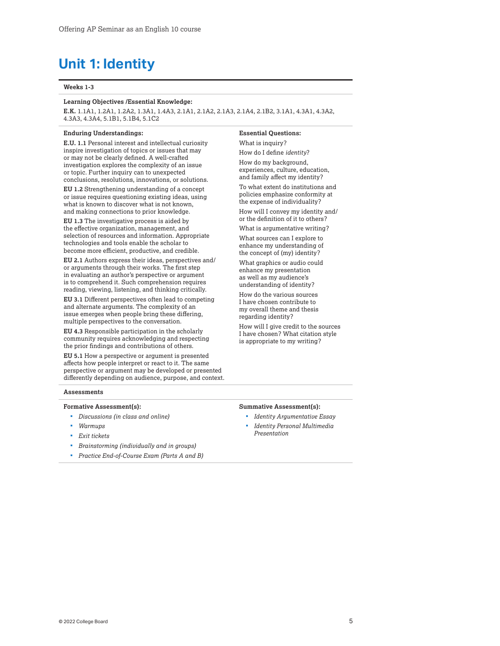# <span id="page-4-0"></span>**Unit 1: Identity**

#### **Weeks 1-3**

#### **Learning Objectives /Essential Knowledge:**

**E.K.** 1.1A1, 1.2A1, 1.2A2, 1.3A1, 1.4A3, 2.1A1, 2.1A2, 2.1A3, 2.1A4, 2.1B2, 3.1A1, 4.3A1, 4.3A2, 4.3A3, 4.3A4, 5.1B1, 5.1B4, 5.1C2

#### **Enduring Understandings:**

**E.U. 1.1** Personal interest and intellectual curiosity inspire investigation of topics or issues that may or may not be clearly defined. A well-crafted investigation explores the complexity of an issue or topic. Further inquiry can to unexpected conclusions, resolutions, innovations, or solutions.

**EU 1.2** Strengthening understanding of a concept or issue requires questioning existing ideas, using what is known to discover what is not known, and making connections to prior knowledge.

**EU 1.3** The investigative process is aided by the effective organization, management, and selection of resources and information. Appropriate technologies and tools enable the scholar to become more efficient, productive, and credible.

**EU 2.1** Authors express their ideas, perspectives and/ or arguments through their works. The first step in evaluating an author's perspective or argument is to comprehend it. Such comprehension requires reading, viewing, listening, and thinking critically.

**EU 3.1** Different perspectives often lead to competing and alternate arguments. The complexity of an issue emerges when people bring these differing, multiple perspectives to the conversation.

**EU 4.3** Responsible participation in the scholarly community requires acknowledging and respecting the prior findings and contributions of others.

**EU 5.1** How a perspective or argument is presented affects how people interpret or react to it. The same perspective or argument may be developed or presented differently depending on audience, purpose, and context.

#### **Assessments**

#### **Formative Assessment(s):**

- *Discussions (in class and online)*
- *Warmups*
- *Exit tickets*
- *Brainstorming (individually and in groups)*
- *Practice End-of-Course Exam (Parts A and B)*

## **Essential Questions:**

What is inquiry? How do I define *identity*?

How do my background, experiences, culture, education, and family affect my identity?

To what extent do institutions and policies emphasize conformity at the expense of individuality?

How will I convey my identity and/ or the definition of it to others?

What is argumentative writing?

What sources can I explore to enhance my understanding of the concept of (my) identity?

What graphics or audio could enhance my presentation as well as my audience's understanding of identity?

How do the various sources I have chosen contribute to my overall theme and thesis regarding identity?

How will I give credit to the sources I have chosen? What citation style is appropriate to my writing?

#### **Summative Assessment(s):**

- *Identity Argumentative Essay*
- *Identity Personal Multimedia Presentation*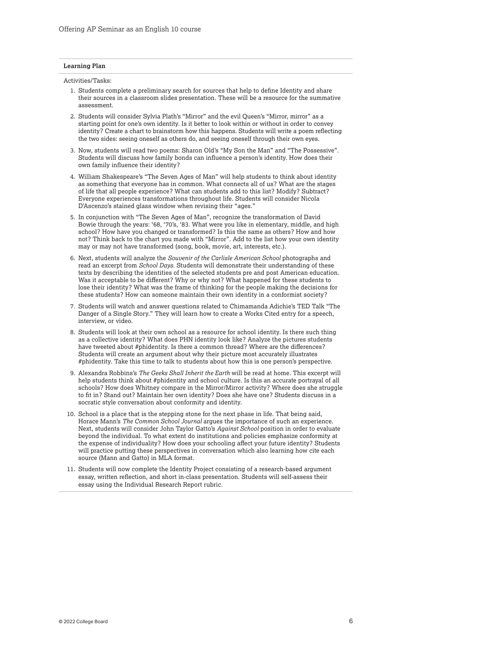#### **Learning Plan**

Activities/Tasks:

- 1. Students complete a preliminary search for sources that help to define Identity and share their sources in a classroom slides presentation. These will be a resource for the summative assessment.
- 2. Students will consider Sylvia Plath's "Mirror" and the evil Queen's "Mirror, mirror" as a starting point for one's own identity. Is it better to look within or without in order to convey identity? Create a chart to brainstorm how this happens. Students will write a poem reflecting the two sides: seeing oneself as others do, and seeing oneself through their own eyes.
- 3. Now, students will read two poems: Sharon Old's "My Son the Man" and "The Possessive". Students will discuss how family bonds can influence a person's identity. How does their own family influence their identity?
- 4. William Shakespeare's "The Seven Ages of Man" will help students to think about identity as something that everyone has in common. What connects all of us? What are the stages of life that all people experience? What can students add to this list? Modify? Subtract? Everyone experiences transformations throughout life. Students will consider Nicola D'Ascenzo's stained glass window when revising their "ages."
- 5. In conjunction with "The Seven Ages of Man", recognize the transformation of David Bowie through the years: '68, '70's, '83. What were you like in elementary, middle, and high school? How have you changed or transformed? Is this the same as others? How and how not? Think back to the chart you made with "Mirror". Add to the list how your own identity may or may not have transformed (song, book, movie, art, interests, etc.).
- 6. Next, students will analyze the *Souvenir of the Carlisle American School* photographs and read an excerpt from *School Days*. Students will demonstrate their understanding of these texts by describing the identities of the selected students pre and post American education. Was it acceptable to be different? Why or why not? What happened for these students to lose their identity? What was the frame of thinking for the people making the decisions for these students? How can someone maintain their own identity in a conformist society?
- 7. Students will watch and answer questions related to Chimamanda Adichie's TED Talk "The Danger of a Single Story." They will learn how to create a Works Cited entry for a speech, interview, or video.
- #phidentity. Take this time to talk to students about how this is one person's perspective. 8. Students will look at their own school as a resource for school identity. Is there such thing as a collective identity? What does PHN identity look like? Analyze the pictures students have tweeted about #phidentity. Is there a common thread? Where are the differences? Students will create an argument about why their picture most accurately illustrates
- 9. Alexandra Robbins's The Geeks Shall Inherit the Earth will be read at home. This excerpt will help students think about #phidentity and school culture. Is this an accurate portrayal of all schools? How does Whitney compare in the Mirror/Mirror activity? Where does she struggle to fit in? Stand out? Maintain her own identity? Does she have one? Students discuss in a socratic style conversation about conformity and identity.
- 10. School is a place that is the stepping stone for the next phase in life. That being said, Horace Mann's *The Common School Journal* argues the importance of such an experience. Next, students will consider John Taylor Gatto's *Against School* position in order to evaluate beyond the individual. To what extent do institutions and policies emphasize conformity at the expense of individuality? How does your schooling affect your future identity? Students will practice putting these perspectives in conversation which also learning how cite each source (Mann and Gatto) in MLA format.
- 11. Students will now complete the Identity Project consisting of a research-based argument essay, written reflection, and short in-class presentation. Students will self-assess their essay using the Individual Research Report rubric.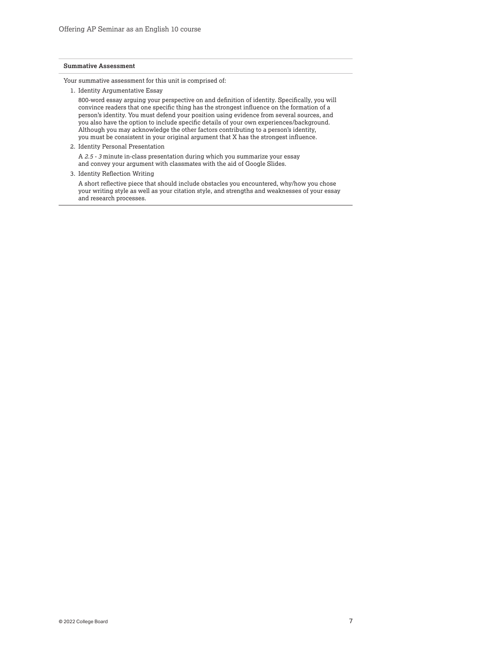#### **Summative Assessment**

Your summative assessment for this unit is comprised of:

1. Identity Argumentative Essay

800-word essay arguing your perspective on and definition of identity. Specifically, you will convince readers that one specific thing has the strongest influence on the formation of a person's identity. You must defend your position using evidence from several sources, and you also have the option to include specific details of your own experiences/background. Although you may acknowledge the other factors contributing to a person's identity, you must be consistent in your original argument that X has the strongest influence.

2. Identity Personal Presentation

A *2.5 - 3* minute in-class presentation during which you summarize your essay and convey your argument with classmates with the aid of Google Slides.

3. Identity Reflection Writing

A short reflective piece that should include obstacles you encountered, why/how you chose your writing style as well as your citation style, and strengths and weaknesses of your essay and research processes.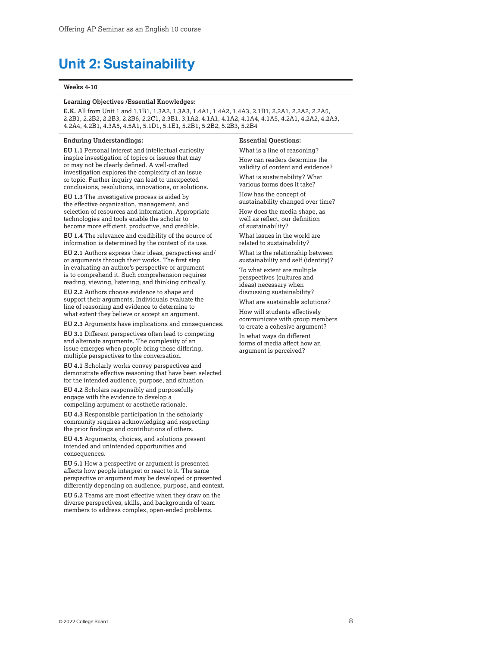# <span id="page-7-0"></span>**Unit 2: Sustainability**

#### **Weeks 4-10**

### **Learning Objectives /Essential Knowledges:**

**E.K.** All from Unit 1 and 1.1B1, 1.3A2, 1.3A3, 1.4A1, 1.4A2, 1.4A3, 2.1B1, 2.2A1, 2.2A2, 2.2A5, 2.2B1, 2.2B2, 2.2B3, 2.2B6, 2.2C1, 2.3B1, 3.1A2, 4.1A1, 4.1A2, 4.1A4, 4.1A5, 4.2A1, 4.2A2, 4.2A3, 4.2A4, 4.2B1, 4.3A5, 4.5A1, 5.1D1, 5.1E1, 5.2B1, 5.2B2, 5.2B3, 5.2B4

#### **Enduring Understandings:**

**EU 1.1** Personal interest and intellectual curiosity inspire investigation of topics or issues that may or may not be clearly defined. A well-crafted investigation explores the complexity of an issue or topic. Further inquiry can lead to unexpected conclusions, resolutions, innovations, or solutions.

**EU 1.3** The investigative process is aided by the effective organization, management, and selection of resources and information. Appropriate technologies and tools enable the scholar to become more efficient, productive, and credible.

**EU 1.4** The relevance and credibility of the source of information is determined by the context of its use.

**EU 2.1** Authors express their ideas, perspectives and/ or arguments through their works. The first step in evaluating an author's perspective or argument is to comprehend it. Such comprehension requires reading, viewing, listening, and thinking critically.

**EU 2.2** Authors choose evidence to shape and support their arguments. Individuals evaluate the line of reasoning and evidence to determine to what extent they believe or accept an argument.

**EU 2.3** Arguments have implications and consequences.

**EU 3.1** Different perspectives often lead to competing and alternate arguments. The complexity of an issue emerges when people bring these differing, multiple perspectives to the conversation.

**EU 4.1** Scholarly works convey perspectives and demonstrate effective reasoning that have been selected for the intended audience, purpose, and situation.

**EU 4.2** Scholars responsibly and purposefully engage with the evidence to develop a compelling argument or aesthetic rationale.

**EU 4.3** Responsible participation in the scholarly community requires acknowledging and respecting the prior findings and contributions of others.

**EU 4.5** Arguments, choices, and solutions present intended and unintended opportunities and consequences.

**EU 5.1** How a perspective or argument is presented affects how people interpret or react to it. The same perspective or argument may be developed or presented differently depending on audience, purpose, and context.

**EU 5.2** Teams are most effective when they draw on the diverse perspectives, skills, and backgrounds of team members to address complex, open-ended problems.

#### **Essential Questions:**

What is a line of reasoning? How can readers determine the validity of content and evidence? What is sustainability? What various forms does it take?

How has the concept of sustainability changed over time?

How does the media shape, as well as reflect, our definition of sustainability?

What issues in the world are related to sustainability?

What is the relationship between sustainability and self (identity)?

To what extent are multiple perspectives (cultures and ideas) necessary when discussing sustainability?

What are sustainable solutions?

How will students effectively communicate with group members to create a cohesive argument?

In what ways do different forms of media affect how an argument is perceived?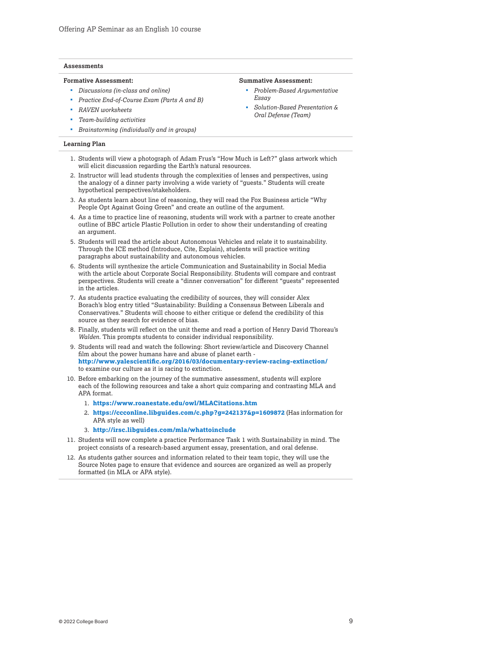#### **Assessments**

#### **Formative Assessment:**

- *Discussions (in-class and online)*
- *Practice End-of-Course Exam (Parts A and B)*
- *RAVEN worksheets*
- *Team-building activities*
- *Brainstorming (individually and in groups)*

#### **Learning Plan**

- 1. Students will view a photograph of Adam Frus's ["How Much is Left?"](http://frusglass.com/bio-and-contact.html) glass artwork which will elicit discussion regarding the Earth's natural resources.
- 2. Instructor will lead students through the complexities of lenses and perspectives, using the analogy of a dinner party involving a wide variety of "guests." Students will create hypothetical perspectives/stakeholders.
- 3. As students learn about line of reasoning, they will read the Fox Business article ["Why](https://www.foxbusiness.com/features/why-people-opt-against-going-green)  [People Opt Against Going Green"](https://www.foxbusiness.com/features/why-people-opt-against-going-green) and create an outline of the argument.
- 4. As a time to practice line of reasoning, students will work with a partner to create another outline of BBC article [Plastic Pollution](https://www.bbc.com/news/science-environment-45043989) in order to show their understanding of creating an argument.
- 5. Students will read the article about [Autonomous Vehicles](https://thefuturescentre.org/articles/11010/what-will-autonomous-vehicles-mean-sustainability) and relate it to sustainability. Through the ICE method (Introduce, Cite, Explain), students will practice writing paragraphs about sustainability and autonomous vehicles.
- 6. Students will synthesize the article [Communication and Sustainability in Social Media](https://elearning.scranton.edu/resource/business-leadership/communicating-sustainability-in-social-media)  with the article about [Corporate Social Responsibility. S](http://theconversation.com/what-is-corporate-social-responsibility-and-does-it-work-89710)tudents will compare and contrast perspectives. Students will create a "dinner conversation" for different "guests" represented in the articles.
- 7. As students practice evaluating the credibility of sources, they will consider Alex Borach's blog entry titled ["Sustainability: Building a Consensus Between Liberals and](https://zorach.wordpress.com/2010/06/25/sustainability-building-a-consensus-between-liberals-conservatives/)  [Conservatives."](https://zorach.wordpress.com/2010/06/25/sustainability-building-a-consensus-between-liberals-conservatives/) Students will choose to either critique or defend the credibility of this source as they search for evidence of bias.
- 8. Finally, students will reflect on the unit theme and read a portion of Henry David Thoreau's *[Walden](http://xroads.virginia.edu/~hyper/walden/hdt02.html)*. This prompts students to consider individual responsibility.
- **<http://www.yalescientific.org/2016/03/documentary-review-racing-extinction/>** 9. Students will read and watch the following: Short review/article and Discovery Channel film about the power humans have and abuse of planet earth to examine our culture as it is racing to extinction.
- 10. Before embarking on the journey of the summative assessment, students will explore each of the following resources and take a short quiz comparing and contrasting MLA and APA format.
	- 1. **[https://www.roanestate.edu/owl/MLACitations.htm](http://www.roanestate.edu/owl/MLACitations.htm)**
	- 2. **<https://ccconline.libguides.com/c.php?g=242137&p=1609872>** (Has information for APA style as well)
	- 3. **<http://irsc.libguides.com/mla/whattoinclude>**
- 11. Students will now complete a practice Performance Task 1 with Sustainability in mind. The project consists of a research-based argument essay, presentation, and oral defense.
- 12. As students gather sources and information related to their team topic, they will use the Source Notes page to ensure that evidence and sources are organized as well as properly formatted (in MLA or APA style).

### **Summative Assessment:**

- *Problem-Based Argumentative Essay*
- *Solution-Based Presentation & Oral Defense (Team)*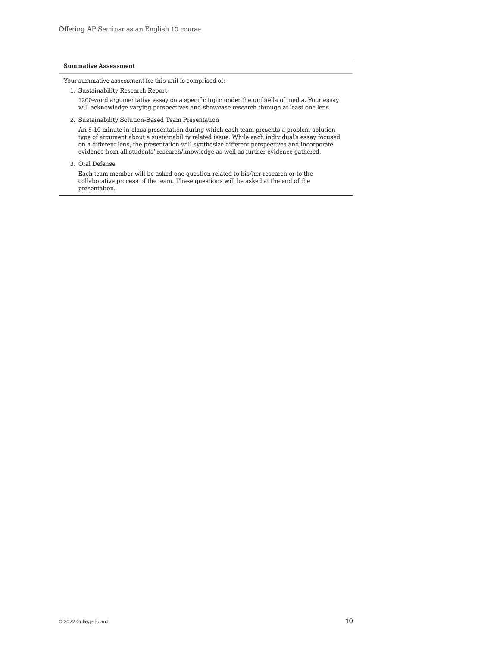#### **Summative Assessment**

Your summative assessment for this unit is comprised of:

1. Sustainability Research Report

1200-word argumentative essay on a specific topic under the umbrella of media. Your essay will acknowledge varying perspectives and showcase research through at least one lens.

2. Sustainability Solution-Based Team Presentation

An 8-10 minute in-class presentation during which each team presents a problem-solution type of argument about a sustainability related issue. While each individual's essay focused on a different lens, the presentation will synthesize different perspectives and incorporate evidence from all students' research/knowledge as well as further evidence gathered.

3. Oral Defense

Each team member will be asked one question related to his/her research or to the collaborative process of the team. These questions will be asked at the end of the presentation.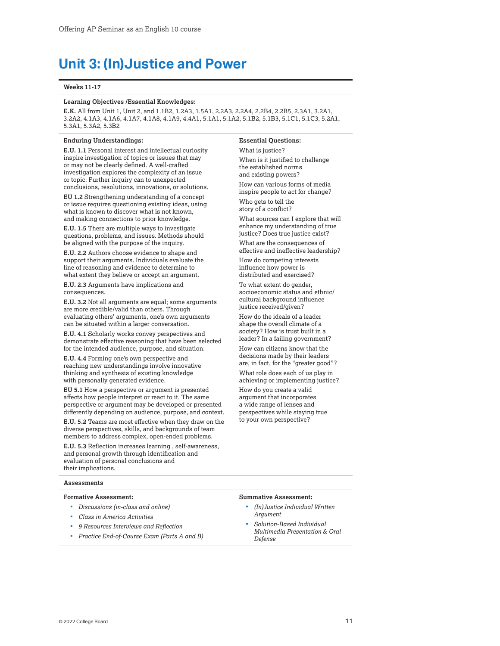# <span id="page-10-0"></span>**Unit 3: (In)Justice and Power**

#### **Weeks 11-17**

### **Learning Objectives /Essential Knowledges:**

**E.K.** All from Unit 1, Unit 2, and 1.1B2, 1.2A3, 1.5A1, 2.2A3, 2.2A4, 2.2B4, 2.2B5, 2.3A1, 3.2A1, 3.2A2, 4.1A3, 4.1A6, 4.1A7, 4.1A8, 4.1A9, 4.4A1, 5.1A1, 5.1A2, 5.1B2, 5.1B3, 5.1C1, 5.1C3, 5.2A1, 5.3A1, 5.3A2, 5.3B2

#### **Enduring Understandings:**

**E.U. 1.1** Personal interest and intellectual curiosity inspire investigation of topics or issues that may or may not be clearly defined. A well-crafted investigation explores the complexity of an issue or topic. Further inquiry can to unexpected conclusions, resolutions, innovations, or solutions.

**EU 1.2** Strengthening understanding of a concept or issue requires questioning existing ideas, using what is known to discover what is not known, and making connections to prior knowledge.

**E.U. 1.5** There are multiple ways to investigate questions, problems, and issues. Methods should be aligned with the purpose of the inquiry.

**E.U. 2.2** Authors choose evidence to shape and support their arguments. Individuals evaluate the line of reasoning and evidence to determine to what extent they believe or accept an argument.

**E.U. 2.3** Arguments have implications and consequences.

**E.U. 3.2** Not all arguments are equal; some arguments are more credible/valid than others. Through evaluating others' arguments, one's own arguments can be situated within a larger conversation.

**E.U. 4.1** Scholarly works convey perspectives and demonstrate effective reasoning that have been selected for the intended audience, purpose, and situation.

**E.U. 4.4** Forming one's own perspective and reaching new understandings involve innovative thinking and synthesis of existing knowledge with personally generated evidence.

**EU 5.1** How a perspective or argument is presented affects how people interpret or react to it. The same perspective or argument may be developed or presented differently depending on audience, purpose, and context.

**E.U. 5.2** Teams are most effective when they draw on the diverse perspectives, skills, and backgrounds of team members to address complex, open-ended problems.

**E.U. 5.3** Reflection increases learning , self-awareness, and personal growth through identification and evaluation of personal conclusions and their implications.

### **Essential Questions:**

What is justice? When is it justified to challenge the established norms and existing powers?

How can various forms of media inspire people to act for change?

Who gets to tell the story of a conflict?

What sources can I explore that will enhance my understanding of true justice? Does true justice exist?

What are the consequences of effective and ineffective leadership?

How do competing interests influence how power is distributed and exercised?

To what extent do gender, socioeconomic status and ethnic/ cultural background influence justice received/given?

How do the ideals of a leader shape the overall climate of a society? How is trust built in a leader? In a failing government?

How can citizens know that the decisions made by their leaders are, in fact, for the "greater good"?

What role does each of us play in achieving or implementing justice?

How do you create a valid argument that incorporates a wide range of lenses and perspectives while staying true to your own perspective?

#### **Assessments**

#### **Formative Assessment:**

- *Discussions (in-class and online)*
- *Class in America Activities*
- *9 Resources Interviews and Reflection*
- *Practice End-of-Course Exam (Parts A and B)*

#### **Summative Assessment:**

- *(In)Justice Individual Written Argument*
- *Solution-Based Individual Multimedia Presentation & Oral Defense*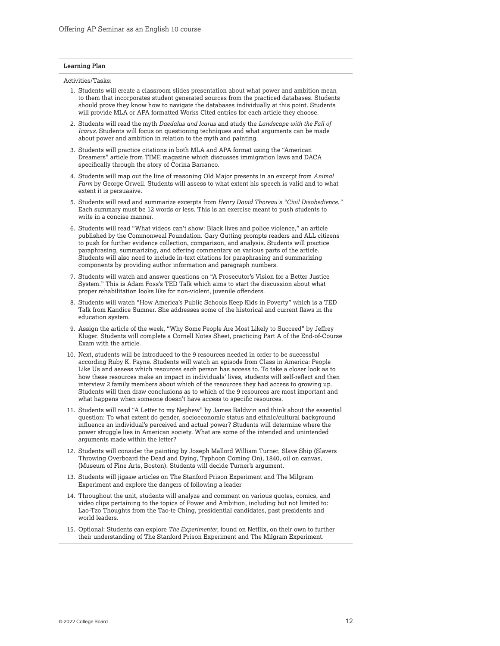#### **Learning Plan**

Activities/Tasks:

- 1. Students will create a classroom slides presentation about what power and ambition mean to them that incorporates student generated sources from the practiced databases. Students should prove they know how to navigate the databases individually at this point. Students will provide MLA or APA formatted Works Cited entries for each article they choose.
- 2. Students will read the myth *Daedalus and Icarus* and study the *Landscape with the Fall of Icarus.* Students will focus on questioning techniques and what arguments can be made about power and ambition in relation to the myth and painting.
- 3. Students will practice citations in both MLA and APA format using the "American Dreamers" article from TIME magazine which discusses immigration laws and DACA specifically through the story of Corina Barranco.
- 4. Students will map out the line of reasoning Old Major presents in an excerpt from *Animal Farm* by George Orwell. Students will assess to what extent his speech is valid and to what extent it is persuasive.
- 5. Students will read and summarize excerpts from *Henry David Thoreau's "Civil Disobedience."*  Each summary must be 12 words or less. This is an exercise meant to push students to write in a concise manner.
- 6. Students will read "What videos can't show: Black lives and police violence," an article published by the Commonweal Foundation. Gary Gutting prompts readers and ALL citizens to push for further evidence collection, comparison, and analysis. Students will practice paraphrasing, summarizing, and offering commentary on various parts of the article. Students will also need to include in-text citations for paraphrasing and summarizing components by providing author information and paragraph numbers.
- 7. Students will watch and answer questions on "A Prosecutor's Vision for a Better Justice System." This is Adam Foss's TED Talk which aims to start the discussion about what proper rehabilitation looks like for non-violent, juvenile offenders.
- 8. Students will watch "How America's Public Schools Keep Kids in Poverty" which is a TED Talk from Kandice Sumner. She addresses some of the historical and current flaws in the education system.
- 9. Assign the article of the week, "Why Some People Are Most Likely to Succeed" by Jeffrey Kluger. Students will complete a Cornell Notes Sheet, practicing Part A of the End-of-Course Exam with the article.
- 10. Next, students will be introduced to the 9 resources needed in order to be successful according Ruby K. Payne. Students will watch an episode from Class in America: People Like Us and assess which resources each person has access to. To take a closer look as to how these resources make an impact in individuals' lives, students will self-reflect and then interview 2 family members about which of the resources they had access to growing up. Students will then draw conclusions as to which of the 9 resources are most important and what happens when someone doesn't have access to specific resources.
- 11. Students will read "A Letter to my Nephew" by James Baldwin and think about the essential question: To what extent do gender, socioeconomic status and ethnic/cultural background influence an individual's perceived and actual power? Students will determine where the power struggle lies in American society. What are some of the intended and unintended arguments made within the letter?
- 12. Students will consider the painting by Joseph Mallord William Turner, Slave Ship (Slavers Throwing Overboard the Dead and Dying, Typhoon Coming On), 1840, oil on canvas, (Museum of Fine Arts, Boston). Students will decide Turner's argument.
- 13. Students will jigsaw articles on The Stanford Prison Experiment and The Milgram Experiment and explore the dangers of following a leader
- 14. Throughout the unit, students will analyze and comment on various quotes, comics, and video clips pertaining to the topics of Power and Ambition, including but not limited to: Lao-Tzo Thoughts from the Tao-te Ching, presidential candidates, past presidents and world leaders.
- 15. Optional: Students can explore *The Experimenter*, found on Netflix, on their own to further their understanding of The Stanford Prison Experiment and The Milgram Experiment.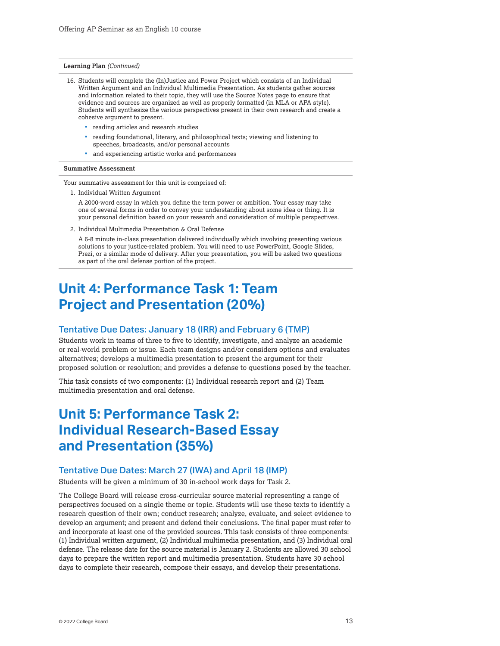#### <span id="page-12-0"></span>**Learning Plan** *(Continued)*

- 16. Students will complete the (In)Justice and Power Project which consists of an Individual Written Argument and an Individual Multimedia Presentation. As students gather sources and information related to their topic, they will use the Source Notes page to ensure that evidence and sources are organized as well as properly formatted (in MLA or APA style). Students will synthesize the various perspectives present in their own research and create a cohesive argument to present.
	- **•** reading articles and research studies
	- reading foundational, literary, and philosophical texts; viewing and listening to speeches, broadcasts, and/or personal accounts
	- and experiencing artistic works and performances

#### **Summative Assessment**

Your summative assessment for this unit is comprised of:

1. Individual Written Argument

A 2000-word essay in which you define the term power or ambition. Your essay may take one of several forms in order to convey your understanding about some idea or thing. It is your personal definition based on your research and consideration of multiple perspectives.

2. Individual Multimedia Presentation & Oral Defense

A 6-8 minute in-class presentation delivered individually which involving presenting various solutions to your justice-related problem. You will need to use PowerPoint, Google Slides, Prezi, or a similar mode of delivery. After your presentation, you will be asked two questions as part of the oral defense portion of the project.

# **Unit 4: Performance Task 1: Team Project and Presentation (20%)**

### Tentative Due Dates: January 18 (IRR) and February 6 (TMP)

Students work in teams of three to five to identify, investigate, and analyze an academic or real-world problem or issue. Each team designs and/or considers options and evaluates alternatives; develops a multimedia presentation to present the argument for their proposed solution or resolution; and provides a defense to questions posed by the teacher.

This task consists of two components: (1) Individual research report and (2) Team multimedia presentation and oral defense.

# **Unit 5: Performance Task 2: Individual Research-Based Essay and Presentation (35%)**

## Tentative Due Dates: March 27 (IWA) and April 18 (IMP)

Students will be given a minimum of 30 in-school work days for Task 2.

 defense. The release date for the source material is January 2. Students are allowed 30 school The College Board will release cross-curricular source material representing a range of perspectives focused on a single theme or topic. Students will use these texts to identify a research question of their own; conduct research; analyze, evaluate, and select evidence to develop an argument; and present and defend their conclusions. The final paper must refer to and incorporate at least one of the provided sources. This task consists of three components: (1) Individual written argument, (2) Individual multimedia presentation, and (3) Individual oral days to prepare the written report and multimedia presentation. Students have 30 school days to complete their research, compose their essays, and develop their presentations.